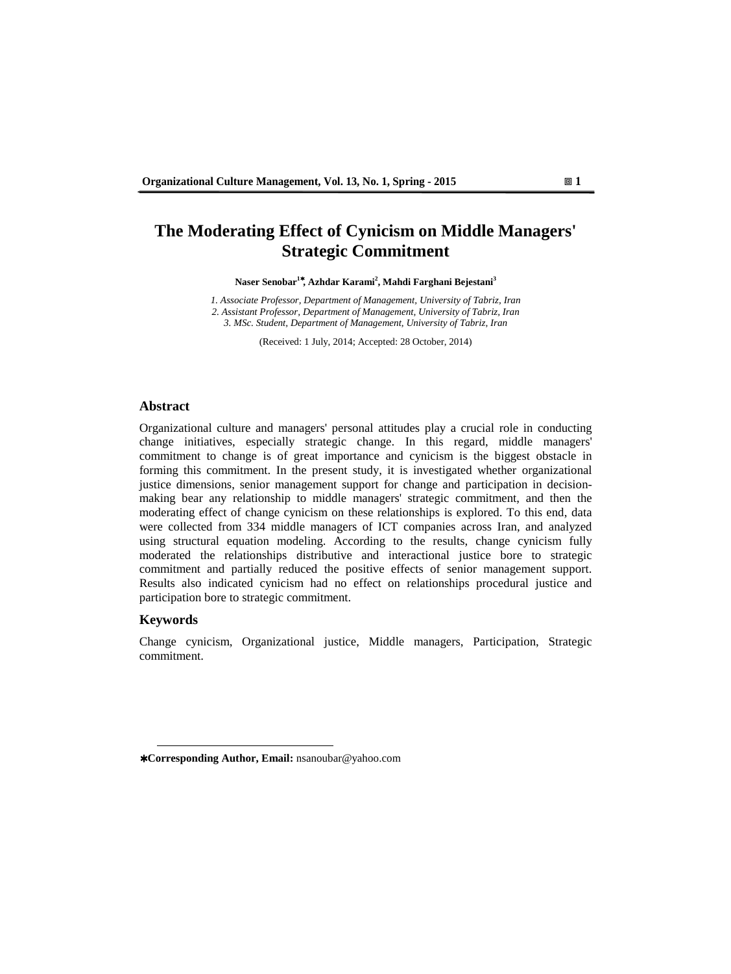## **The Moderating Effect of Cynicism on Middle Managers' Strategic Commitment**

**Naser Senobar<sup>1</sup>**<sup>∗</sup>**, Azhdar Karami<sup>2</sup> , Mahdi Farghani Bejestani<sup>3</sup>**

*1. Associate Professor, Department of Management, University of Tabriz, Iran 2. Assistant Professor, Department of Management, University of Tabriz, Iran 3. MSc. Student, Department of Management, University of Tabriz, Iran*

(Received: 1 July, 2014; Accepted: 28 October, 2014)

#### **Abstract**

Organizational culture and managers' personal attitudes play a crucial role in conducting change initiatives, especially strategic change. In this regard, middle managers' commitment to change is of great importance and cynicism is the biggest obstacle in forming this commitment. In the present study, it is investigated whether organizational justice dimensions, senior management support for change and participation in decisionmaking bear any relationship to middle managers' strategic commitment, and then the moderating effect of change cynicism on these relationships is explored. To this end, data were collected from 334 middle managers of ICT companies across Iran, and analyzed using structural equation modeling. According to the results, change cynicism fully moderated the relationships distributive and interactional justice bore to strategic commitment and partially reduced the positive effects of senior management support. Results also indicated cynicism had no effect on relationships procedural justice and participation bore to strategic commitment.

#### **Keywords**

 $\overline{a}$ 

Change cynicism, Organizational justice, Middle managers, Participation, Strategic commitment.

<sup>∗</sup> **Corresponding Author, Email:** nsanoubar@yahoo.com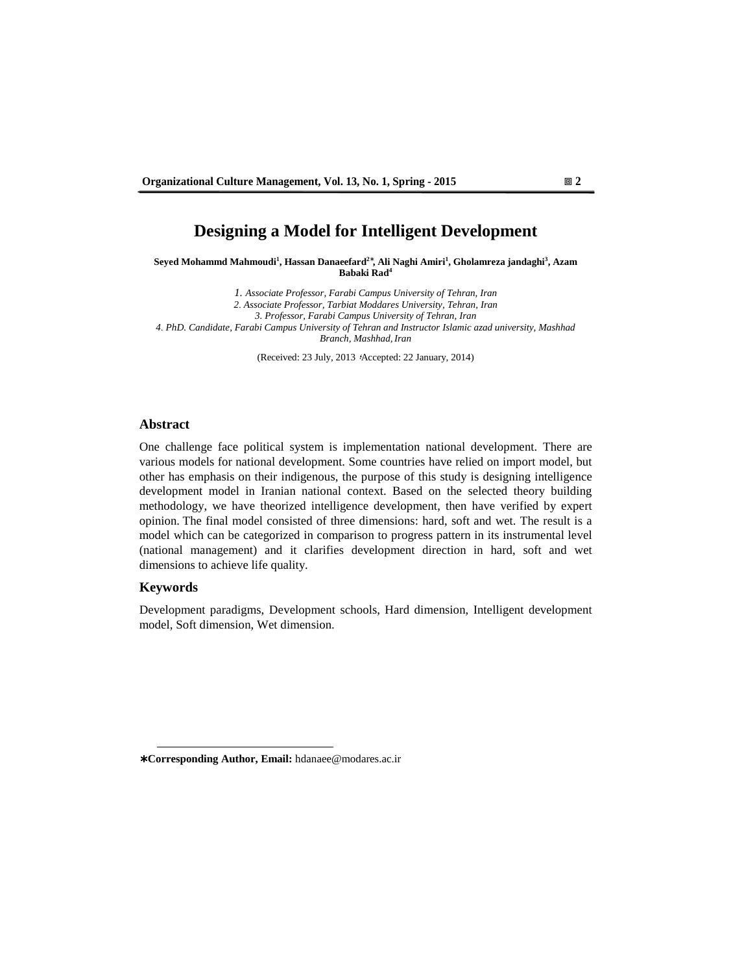# **Designing a Model for Intelligent Development**

**Seyed Mohammd Mahmoudi<sup>1</sup> , Hassan Danaeefard<sup>2</sup>**<sup>∗</sup> **, Ali Naghi Amiri<sup>1</sup> , Gholamreza jandaghi<sup>3</sup> , Azam Babaki Rad<sup>4</sup>**

*1. Associate Professor, Farabi Campus University of Tehran, Iran 2* . *Associate Professor, Tarbiat Moddares University, Tehran, Iran 3. Professor, Farabi Campus University of Tehran, Iran 4* . *PhD. Candidate, Farabi Campus University of Tehran and Instructor Islamic azad university, Mashhad Branch, Mashhad, Iran* 

(Received: 23 July, 2013 ؛Accepted: 22 January, 2014)

### **Abstract**

One challenge face political system is implementation national development. There are various models for national development. Some countries have relied on import model, but other has emphasis on their indigenous, the purpose of this study is designing intelligence development model in Iranian national context. Based on the selected theory building methodology, we have theorized intelligence development, then have verified by expert opinion. The final model consisted of three dimensions: hard, soft and wet. The result is a model which can be categorized in comparison to progress pattern in its instrumental level (national management) and it clarifies development direction in hard, soft and wet dimensions to achieve life quality.

## **Keywords**

 $\overline{a}$ 

Development paradigms, Development schools, Hard dimension, Intelligent development model, Soft dimension, Wet dimension.

<sup>∗</sup> **Corresponding Author, Email:** hdanaee@modares.ac.ir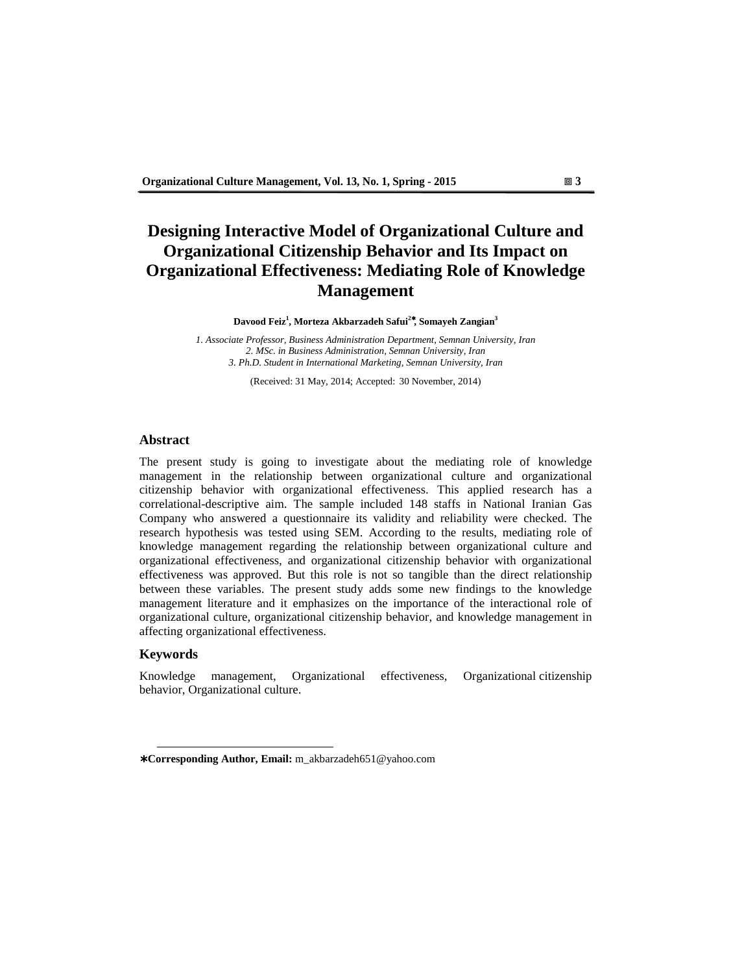# **Designing Interactive Model of Organizational Culture and Organizational Citizenship Behavior and Its Impact on Organizational Effectiveness: Mediating Role of Knowledge Management**

**Davood Feiz<sup>1</sup> , Morteza Akbarzadeh Safui<sup>2</sup>**<sup>∗</sup>**, Somayeh Zangian<sup>3</sup>**

*1. Associate Professor, Business Administration Department, Semnan University, Iran 2. MSc. in Business Administration, Semnan University, Iran 3. Ph.D. Student in International Marketing, Semnan University, Iran*

(Received: 31 May, 2014; Accepted: 30 November, 2014)

### **Abstract**

The present study is going to investigate about the mediating role of knowledge management in the relationship between organizational culture and organizational citizenship behavior with organizational effectiveness. This applied research has a correlational-descriptive aim. The sample included 148 staffs in National Iranian Gas Company who answered a questionnaire its validity and reliability were checked. The research hypothesis was tested using SEM. According to the results, mediating role of knowledge management regarding the relationship between organizational culture and organizational effectiveness, and organizational citizenship behavior with organizational effectiveness was approved. But this role is not so tangible than the direct relationship between these variables. The present study adds some new findings to the knowledge management literature and it emphasizes on the importance of the interactional role of organizational culture, organizational citizenship behavior, and knowledge management in affecting organizational effectiveness.

#### **Keywords**

 $\overline{a}$ 

Knowledge management, Organizational effectiveness, Organizational citizenship behavior, Organizational culture.

<sup>∗</sup> **Corresponding Author, Email:** m\_akbarzadeh651@yahoo.com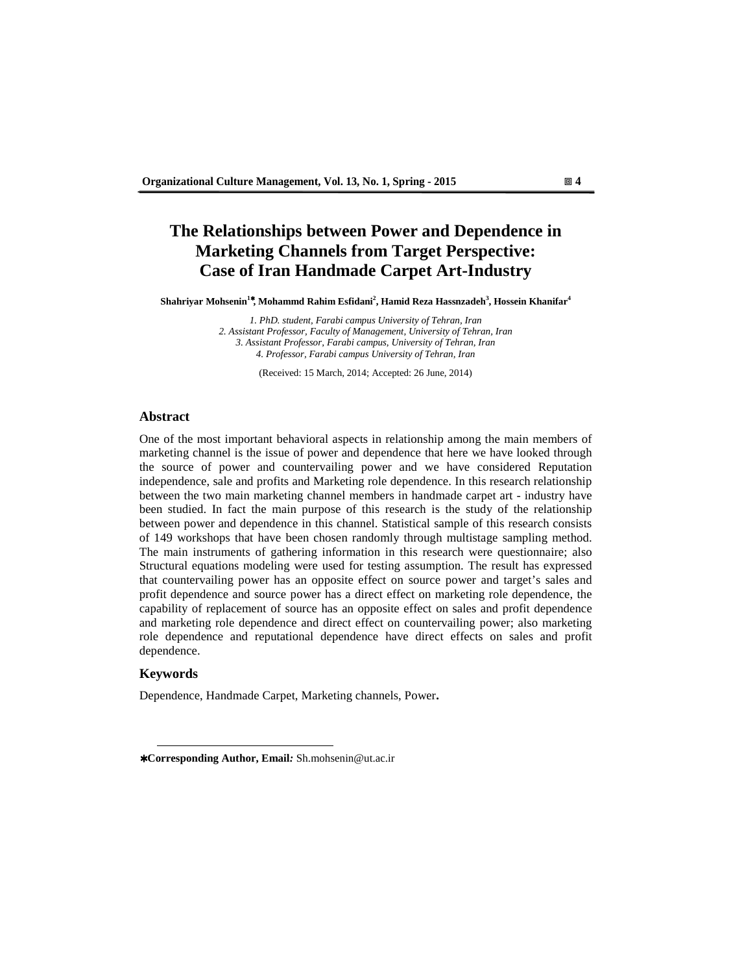# **The Relationships between Power and Dependence in Marketing Channels from Target Perspective: Case of Iran Handmade Carpet Art-Industry**

**Shahriyar Mohsenin<sup>1</sup>**<sup>∗</sup>**, Mohammd Rahim Esfidani<sup>2</sup> , Hamid Reza Hassnzadeh<sup>3</sup> , Hossein Khanifar<sup>4</sup>**

*1. PhD. student, Farabi campus University of Tehran, Iran 2. Assistant Professor, Faculty of Management, University of Tehran, Iran 3. Assistant Professor, Farabi campus, University of Tehran, Iran 4. Professor, Farabi campus University of Tehran, Iran* 

(Received: 15 March, 2014; Accepted: 26 June, 2014)

#### **Abstract**

One of the most important behavioral aspects in relationship among the main members of marketing channel is the issue of power and dependence that here we have looked through the source of power and countervailing power and we have considered Reputation independence, sale and profits and Marketing role dependence. In this research relationship between the two main marketing channel members in handmade carpet art - industry have been studied. In fact the main purpose of this research is the study of the relationship between power and dependence in this channel. Statistical sample of this research consists of 149 workshops that have been chosen randomly through multistage sampling method. The main instruments of gathering information in this research were questionnaire; also Structural equations modeling were used for testing assumption. The result has expressed that countervailing power has an opposite effect on source power and target's sales and profit dependence and source power has a direct effect on marketing role dependence, the capability of replacement of source has an opposite effect on sales and profit dependence and marketing role dependence and direct effect on countervailing power; also marketing role dependence and reputational dependence have direct effects on sales and profit dependence.

#### **Keywords**

 $\overline{a}$ 

Dependence, Handmade Carpet, Marketing channels, Power**.** 

<sup>∗</sup> **Corresponding Author, Email***:* Sh.mohsenin@ut.ac.ir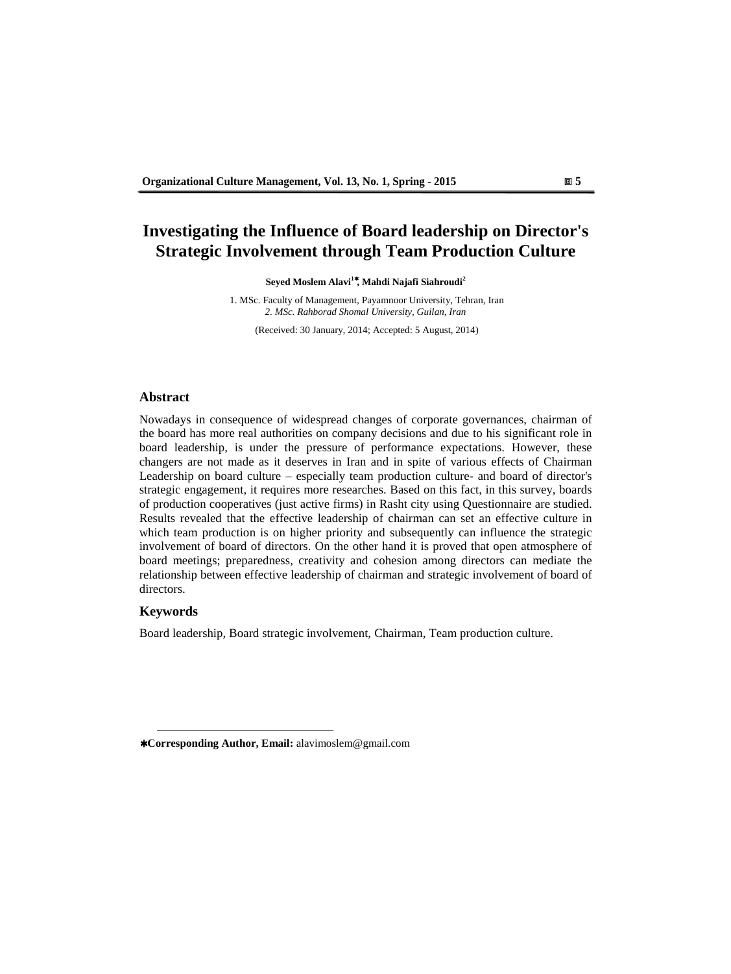## **Investigating the Influence of Board leadership on Director's Strategic Involvement through Team Production Culture**

**Seyed Moslem Alavi<sup>1</sup>**<sup>∗</sup>**, Mahdi Najafi Siahroudi<sup>2</sup>**

1. MSc. Faculty of Management, Payamnoor University, Tehran, Iran *2. MSc. Rahborad Shomal University, Guilan, Iran* 

(Received: 30 January, 2014; Accepted: 5 August, 2014)

#### **Abstract**

Nowadays in consequence of widespread changes of corporate governances, chairman of the board has more real authorities on company decisions and due to his significant role in board leadership, is under the pressure of performance expectations. However, these changers are not made as it deserves in Iran and in spite of various effects of Chairman Leadership on board culture – especially team production culture- and board of director's strategic engagement, it requires more researches. Based on this fact, in this survey, boards of production cooperatives (just active firms) in Rasht city using Questionnaire are studied. Results revealed that the effective leadership of chairman can set an effective culture in which team production is on higher priority and subsequently can influence the strategic involvement of board of directors. On the other hand it is proved that open atmosphere of board meetings; preparedness, creativity and cohesion among directors can mediate the relationship between effective leadership of chairman and strategic involvement of board of directors.

## **Keywords**

 $\overline{a}$ 

Board leadership, Board strategic involvement, Chairman, Team production culture.

<sup>∗</sup> **Corresponding Author, Email:** alavimoslem@gmail.com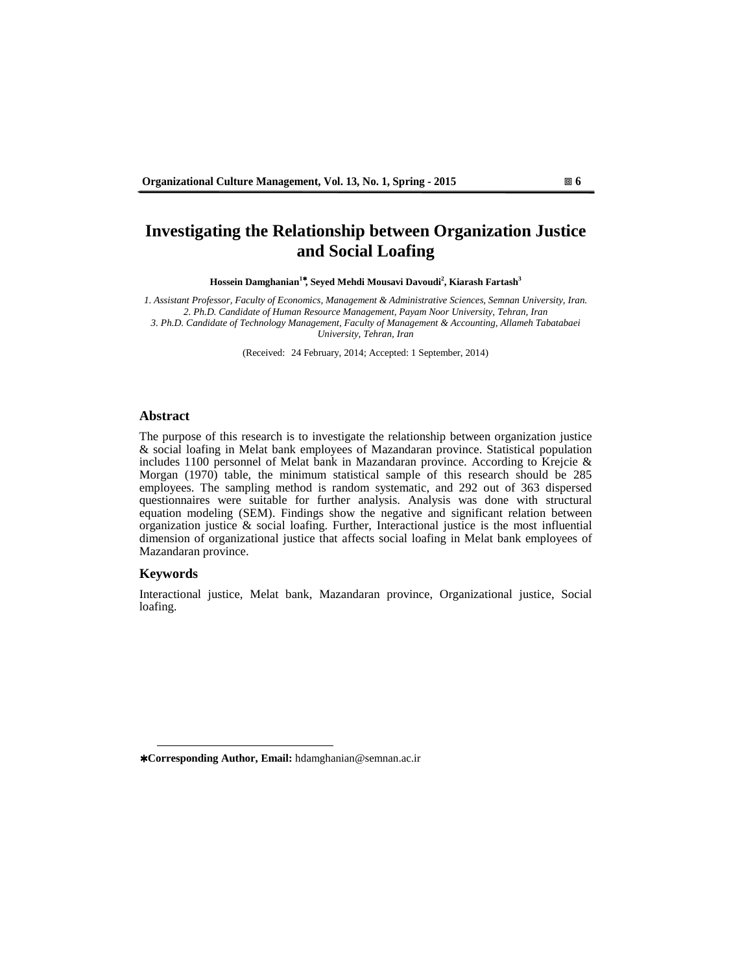# **Investigating the Relationship between Organization Justice and Social Loafing**

**Hossein Damghanian<sup>1</sup>**<sup>∗</sup>**, Seyed Mehdi Mousavi Davoudi<sup>2</sup> , Kiarash Fartash<sup>3</sup>**

*1. Assistant Professor, Faculty of Economics, Management & Administrative Sciences, Semnan University, Iran. 2. Ph.D. Candidate of Human Resource Management, Payam Noor University, Tehran, Iran 3. Ph.D. Candidate of Technology Management, Faculty of Management & Accounting, Allameh Tabatabaei University, Tehran, Iran* 

(Received: 24 February, 2014; Accepted: 1 September, 2014)

#### **Abstract**

The purpose of this research is to investigate the relationship between organization justice & social loafing in Melat bank employees of Mazandaran province. Statistical population includes 1100 personnel of Melat bank in Mazandaran province. According to Krejcie & Morgan (1970) table, the minimum statistical sample of this research should be 285 employees. The sampling method is random systematic, and 292 out of 363 dispersed questionnaires were suitable for further analysis. Analysis was done with structural equation modeling (SEM). Findings show the negative and significant relation between organization justice  $\&$  social loafing. Further, Interactional justice is the most influential dimension of organizational justice that affects social loafing in Melat bank employees of Mazandaran province.

## **Keywords**

 $\overline{a}$ 

Interactional justice, Melat bank, Mazandaran province, Organizational justice, Social loafing.

<sup>∗</sup> **Corresponding Author, Email:** hdamghanian@semnan.ac.ir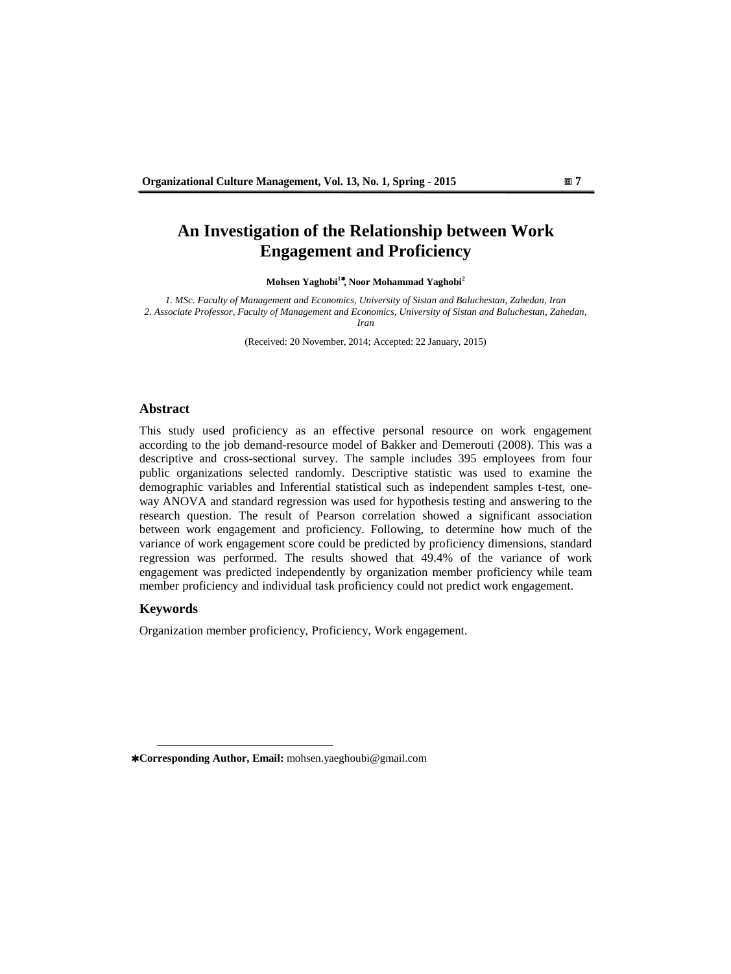# **An Investigation of the Relationship between Work Engagement and Proficiency**

**Mohsen Yaghobi<sup>1</sup>**<sup>∗</sup>**, Noor Mohammad Yaghobi<sup>2</sup>**

*1. MSc. Faculty of Management and Economics, University of Sistan and Baluchestan, Zahedan, Iran 2. Associate Professor, Faculty of Management and Economics, University of Sistan and Baluchestan, Zahedan, Iran* 

(Received: 20 November, 2014; Accepted: 22 January, 2015)

#### **Abstract**

This study used proficiency as an effective personal resource on work engagement according to the job demand-resource model of Bakker and Demerouti (2008). This was a descriptive and cross-sectional survey. The sample includes 395 employees from four public organizations selected randomly. Descriptive statistic was used to examine the demographic variables and Inferential statistical such as independent samples t-test, oneway ANOVA and standard regression was used for hypothesis testing and answering to the research question. The result of Pearson correlation showed a significant association between work engagement and proficiency. Following, to determine how much of the variance of work engagement score could be predicted by proficiency dimensions, standard regression was performed. The results showed that 49.4% of the variance of work engagement was predicted independently by organization member proficiency while team member proficiency and individual task proficiency could not predict work engagement.

## **Keywords**

 $\overline{a}$ 

Organization member proficiency, Proficiency, Work engagement.

<sup>∗</sup> **Corresponding Author, Email:** mohsen.yaeghoubi@gmail.com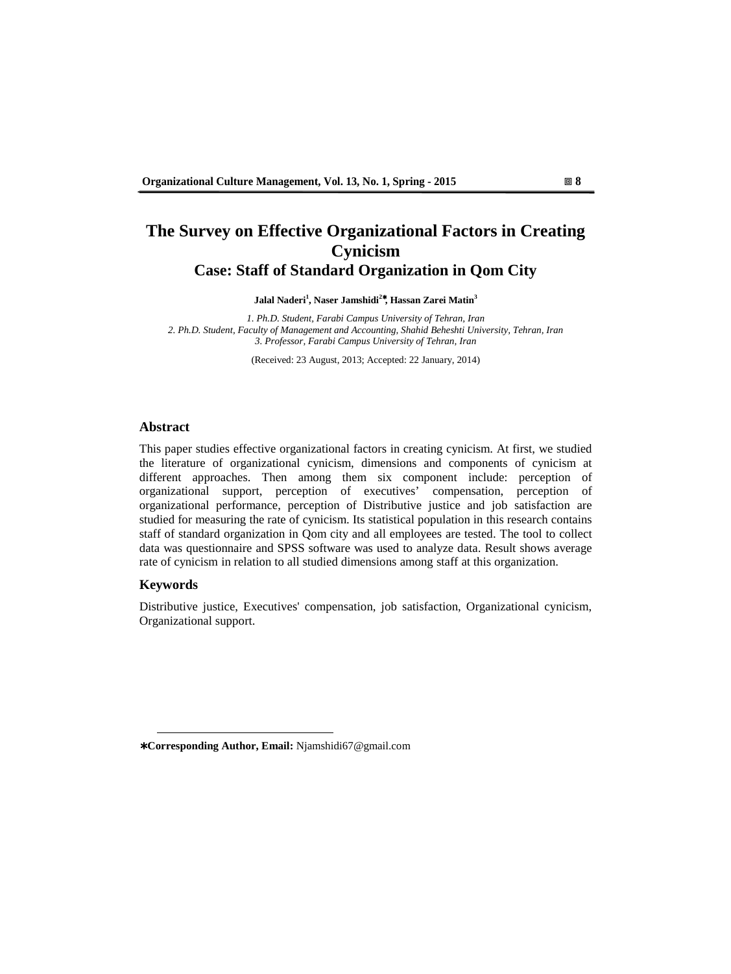# **The Survey on Effective Organizational Factors in Creating Cynicism Case: Staff of Standard Organization in Qom City**

**Jalal Naderi<sup>1</sup> , Naser Jamshidi<sup>2</sup>**<sup>∗</sup>**, Hassan Zarei Matin<sup>3</sup>**

*1. Ph.D. Student, Farabi Campus University of Tehran, Iran 2. Ph.D. Student, Faculty of Management and Accounting, Shahid Beheshti University, Tehran, Iran 3. Professor, Farabi Campus University of Tehran, Iran* 

(Received: 23 August, 2013; Accepted: 22 January, 2014)

## **Abstract**

This paper studies effective organizational factors in creating cynicism. At first, we studied the literature of organizational cynicism, dimensions and components of cynicism at different approaches. Then among them six component include: perception of organizational support, perception of executives' compensation, perception of organizational performance, perception of Distributive justice and job satisfaction are studied for measuring the rate of cynicism. Its statistical population in this research contains staff of standard organization in Qom city and all employees are tested. The tool to collect data was questionnaire and SPSS software was used to analyze data. Result shows average rate of cynicism in relation to all studied dimensions among staff at this organization.

## **Keywords**

 $\overline{a}$ 

Distributive justice, Executives' compensation, job satisfaction, Organizational cynicism, Organizational support.

<sup>∗</sup> **Corresponding Author, Email:** Njamshidi67@gmail.com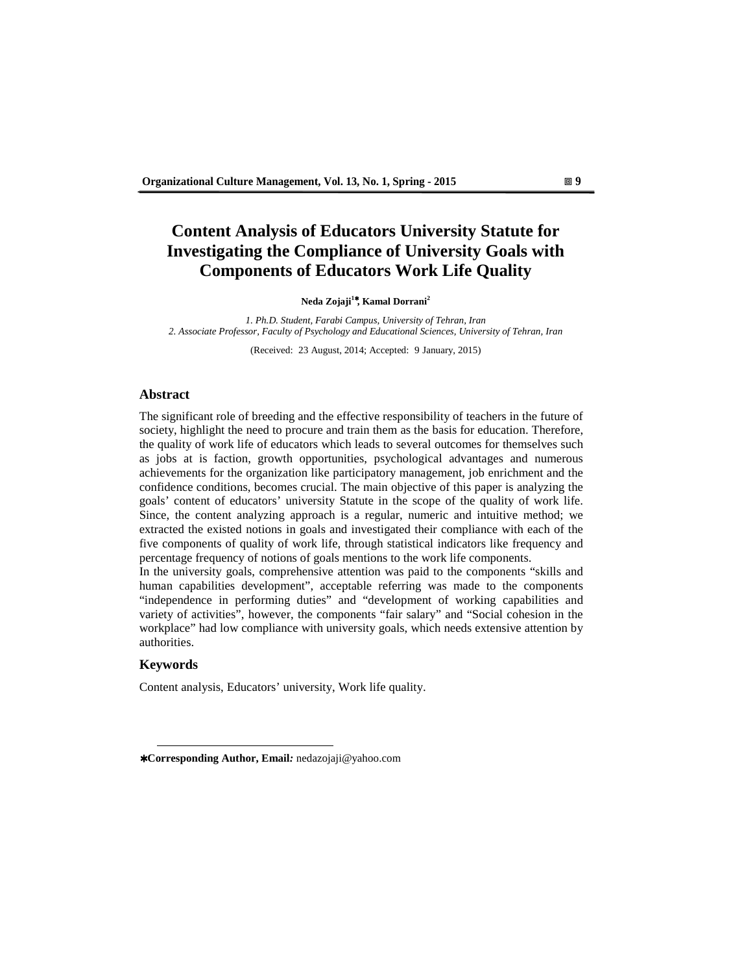# **Content Analysis of Educators University Statute for Investigating the Compliance of University Goals with Components of Educators Work Life Quality**

**Neda Zojaji<sup>1</sup>**<sup>∗</sup>**, Kamal Dorrani<sup>2</sup>**

*1. Ph.D. Student, Farabi Campus, University of Tehran, Iran 2. Associate Professor, Faculty of Psychology and Educational Sciences, University of Tehran, Iran* 

(Received: 23 August, 2014; Accepted: 9 January, 2015)

### **Abstract**

The significant role of breeding and the effective responsibility of teachers in the future of society, highlight the need to procure and train them as the basis for education. Therefore, the quality of work life of educators which leads to several outcomes for themselves such as jobs at is faction, growth opportunities, psychological advantages and numerous achievements for the organization like participatory management, job enrichment and the confidence conditions, becomes crucial. The main objective of this paper is analyzing the goals' content of educators' university Statute in the scope of the quality of work life. Since, the content analyzing approach is a regular, numeric and intuitive method; we extracted the existed notions in goals and investigated their compliance with each of the five components of quality of work life, through statistical indicators like frequency and percentage frequency of notions of goals mentions to the work life components.

In the university goals, comprehensive attention was paid to the components "skills and human capabilities development", acceptable referring was made to the components "independence in performing duties" and "development of working capabilities and variety of activities", however, the components "fair salary" and "Social cohesion in the workplace" had low compliance with university goals, which needs extensive attention by authorities.

#### **Keywords**

 $\overline{a}$ 

Content analysis, Educators' university, Work life quality.

<sup>∗</sup> **Corresponding Author, Email***:* nedazojaji@yahoo.com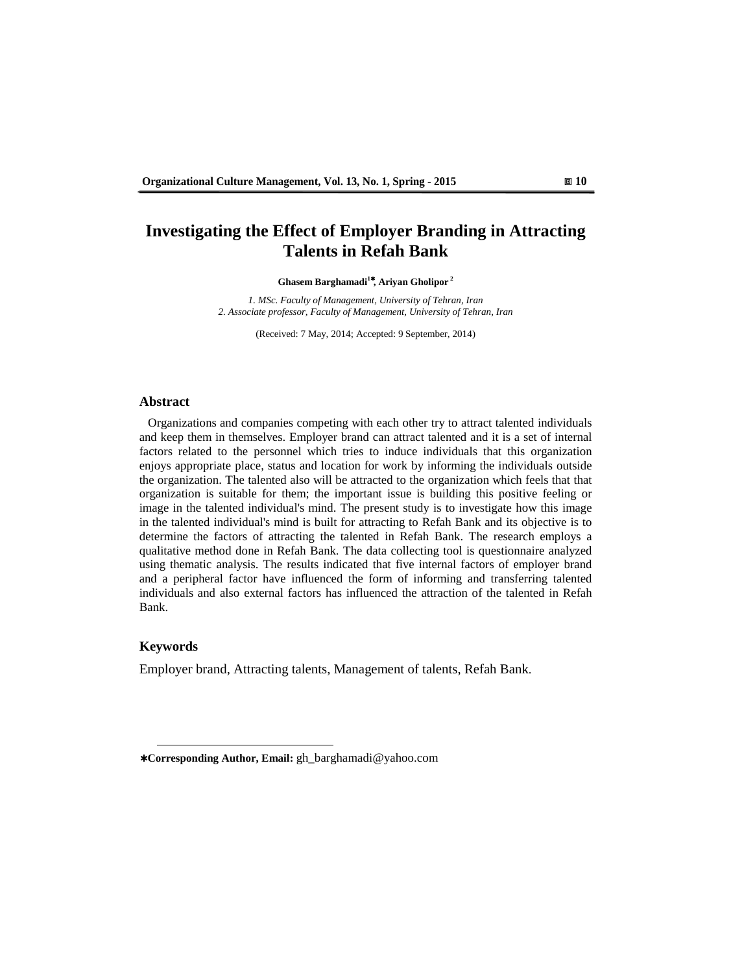## **Investigating the Effect of Employer Branding in Attracting Talents in Refah Bank**

**Ghasem Barghamadi<sup>1</sup>**<sup>∗</sup>**, Ariyan Gholipor<sup>2</sup>**

*1. MSc. Faculty of Management, University of Tehran, Iran 2. Associate professor, Faculty of Management, University of Tehran, Iran* 

(Received: 7 May, 2014; Accepted: 9 September, 2014)

#### **Abstract**

Organizations and companies competing with each other try to attract talented individuals and keep them in themselves. Employer brand can attract talented and it is a set of internal factors related to the personnel which tries to induce individuals that this organization enjoys appropriate place, status and location for work by informing the individuals outside the organization. The talented also will be attracted to the organization which feels that that organization is suitable for them; the important issue is building this positive feeling or image in the talented individual's mind. The present study is to investigate how this image in the talented individual's mind is built for attracting to Refah Bank and its objective is to determine the factors of attracting the talented in Refah Bank. The research employs a qualitative method done in Refah Bank. The data collecting tool is questionnaire analyzed using thematic analysis. The results indicated that five internal factors of employer brand and a peripheral factor have influenced the form of informing and transferring talented individuals and also external factors has influenced the attraction of the talented in Refah Bank.

#### **Keywords**

 $\overline{a}$ 

Employer brand, Attracting talents, Management of talents, Refah Bank.

<sup>∗</sup> **Corresponding Author, Email:** gh\_barghamadi@yahoo.com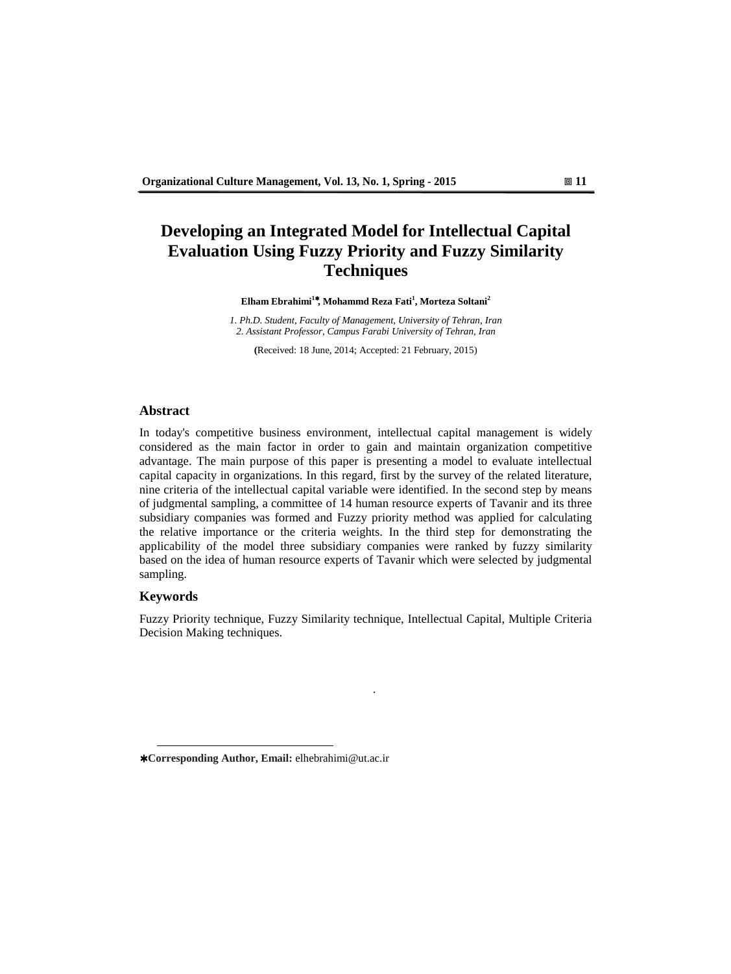# **Developing an Integrated Model for Intellectual Capital Evaluation Using Fuzzy Priority and Fuzzy Similarity Techniques**

**Elham Ebrahimi<sup>1</sup>**<sup>∗</sup>**, Mohammd Reza Fati<sup>1</sup> , Morteza Soltani<sup>2</sup>**

*1. Ph.D. Student, Faculty of Management, University of Tehran, Iran 2. Assistant Professor, Campus Farabi University of Tehran, Iran*

**(**Received: 18 June, 2014; Accepted: 21 February, 2015)

### **Abstract**

In today's competitive business environment, intellectual capital management is widely considered as the main factor in order to gain and maintain organization competitive advantage. The main purpose of this paper is presenting a model to evaluate intellectual capital capacity in organizations. In this regard, first by the survey of the related literature, nine criteria of the intellectual capital variable were identified. In the second step by means of judgmental sampling, a committee of 14 human resource experts of Tavanir and its three subsidiary companies was formed and Fuzzy priority method was applied for calculating the relative importance or the criteria weights. In the third step for demonstrating the applicability of the model three subsidiary companies were ranked by fuzzy similarity based on the idea of human resource experts of Tavanir which were selected by judgmental sampling.

#### **Keywords**

 $\overline{a}$ 

Fuzzy Priority technique, Fuzzy Similarity technique, Intellectual Capital, Multiple Criteria Decision Making techniques.

.

<sup>∗</sup> **Corresponding Author, Email:** elhebrahimi@ut.ac.ir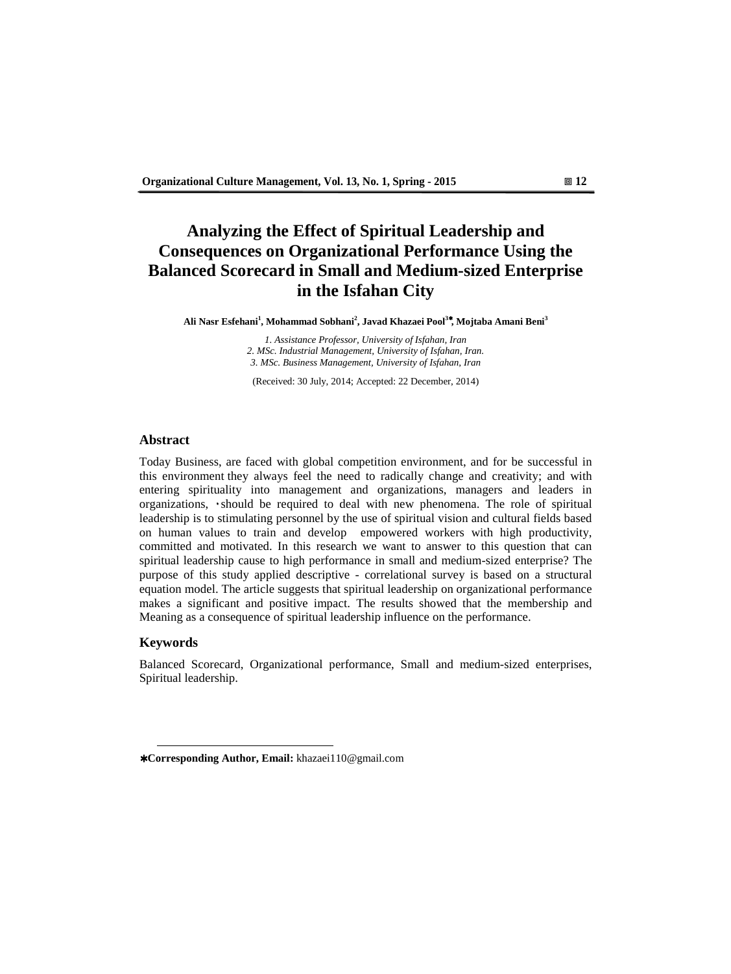# **Analyzing the Effect of Spiritual Leadership and Consequences on Organizational Performance Using the Balanced Scorecard in Small and Medium-sized Enterprise in the Isfahan City**

**Ali Nasr Esfehani<sup>1</sup> , Mohammad Sobhani<sup>2</sup> , Javad Khazaei Pool<sup>3</sup>**<sup>∗</sup>**, Mojtaba Amani Beni<sup>3</sup>**

*1. Assistance Professor, University of Isfahan, Iran 2. MSc. Industrial Management, University of Isfahan, Iran. 3. MSc. Business Management, University of Isfahan, Iran* 

(Received: 30 July, 2014; Accepted: 22 December, 2014)

## **Abstract**

Today Business, are faced with global competition environment, and for be successful in this environment they always feel the need to radically change and creativity; and with entering spirituality into management and organizations, managers and leaders in organizations, ٠should be required to deal with new phenomena. The role of spiritual leadership is to stimulating personnel by the use of spiritual vision and cultural fields based on human values to train and develop empowered workers with high productivity, committed and motivated. In this research we want to answer to this question that can spiritual leadership cause to high performance in small and medium-sized enterprise? The purpose of this study applied descriptive - correlational survey is based on a structural equation model. The article suggests that spiritual leadership on organizational performance makes a significant and positive impact. The results showed that the membership and Meaning as a consequence of spiritual leadership influence on the performance.

### **Keywords**

 $\overline{a}$ 

Balanced Scorecard, Organizational performance, Small and medium-sized enterprises, Spiritual leadership.

<sup>∗</sup> **Corresponding Author, Email:** khazaei110@gmail.com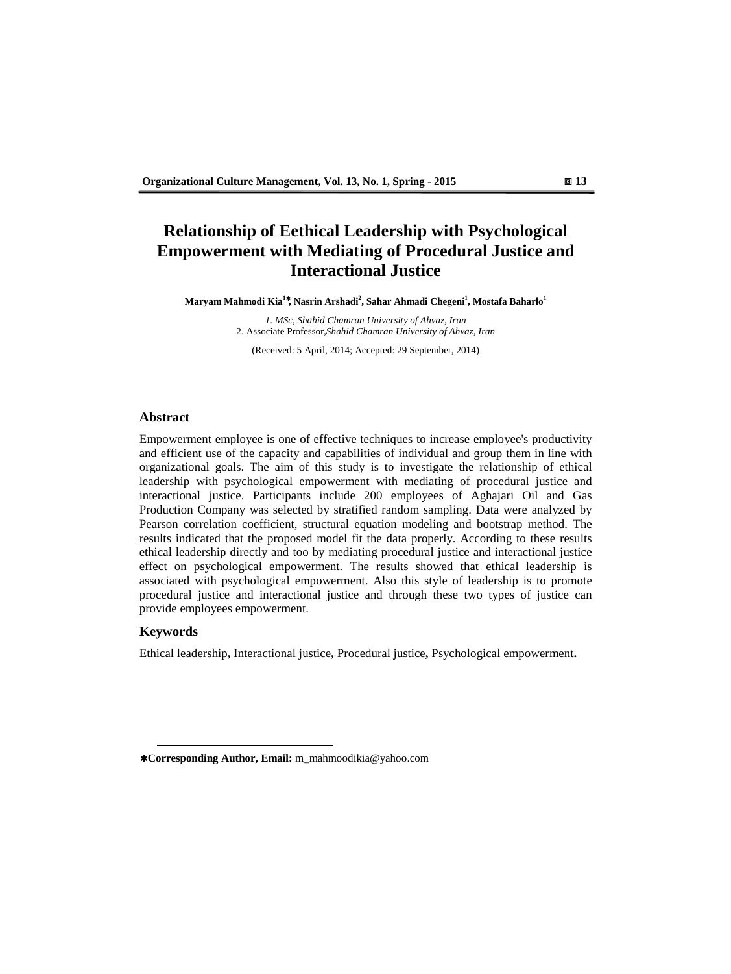# **Relationship of Eethical Leadership with Psychological Empowerment with Mediating of Procedural Justice and Interactional Justice**

**Maryam Mahmodi Kia<sup>1</sup>**<sup>∗</sup>**, Nasrin Arshadi<sup>2</sup> , Sahar Ahmadi Chegeni<sup>1</sup> , Mostafa Baharlo<sup>1</sup>**

*1. MSc, Shahid Chamran University of Ahvaz, Iran*  2. Associate Professor*,Shahid Chamran University of Ahvaz, Iran* 

(Received: 5 April, 2014; Accepted: 29 September, 2014)

#### **Abstract**

Empowerment employee is one of effective techniques to increase employee's productivity and efficient use of the capacity and capabilities of individual and group them in line with organizational goals. The aim of this study is to investigate the relationship of ethical leadership with psychological empowerment with mediating of procedural justice and interactional justice. Participants include 200 employees of Aghajari Oil and Gas Production Company was selected by stratified random sampling. Data were analyzed by Pearson correlation coefficient, structural equation modeling and bootstrap method. The results indicated that the proposed model fit the data properly. According to these results ethical leadership directly and too by mediating procedural justice and interactional justice effect on psychological empowerment. The results showed that ethical leadership is associated with psychological empowerment. Also this style of leadership is to promote procedural justice and interactional justice and through these two types of justice can provide employees empowerment.

## **Keywords**

 $\overline{a}$ 

Ethical leadership**,** Interactional justice**,** Procedural justice**,** Psychological empowerment**.** 

<sup>∗</sup> **Corresponding Author, Email:** m\_mahmoodikia@yahoo.com